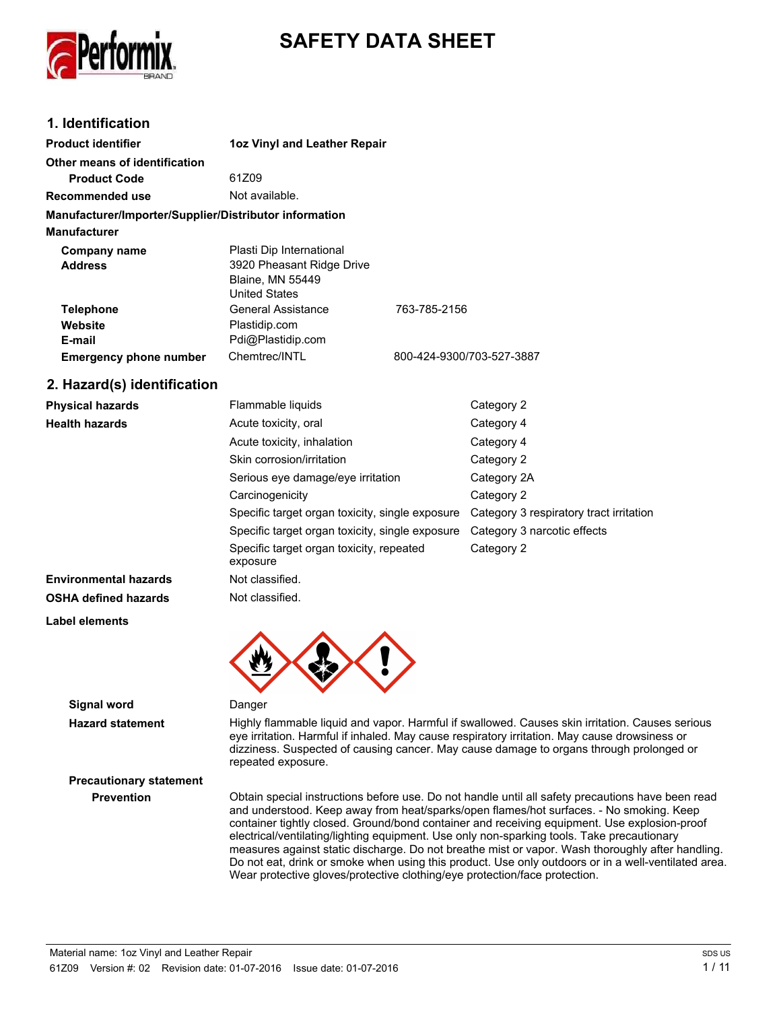

# **SAFETY DATA SHEET**

# **1. Identification**

| <b>Product identifier</b>                              | 1oz Vinyl and Leather Repair                                                                             |                           |
|--------------------------------------------------------|----------------------------------------------------------------------------------------------------------|---------------------------|
| Other means of identification<br><b>Product Code</b>   | 61Z09                                                                                                    |                           |
|                                                        | Not available.                                                                                           |                           |
| <b>Recommended use</b>                                 |                                                                                                          |                           |
| Manufacturer/Importer/Supplier/Distributor information |                                                                                                          |                           |
| <b>Manufacturer</b>                                    |                                                                                                          |                           |
| Company name<br><b>Address</b>                         | Plasti Dip International<br>3920 Pheasant Ridge Drive<br><b>Blaine, MN 55449</b><br><b>United States</b> |                           |
| <b>Telephone</b>                                       | <b>General Assistance</b>                                                                                | 763-785-2156              |
| Website                                                | Plastidip.com                                                                                            |                           |
| E-mail                                                 | Pdi@Plastidip.com                                                                                        |                           |
| <b>Emergency phone number</b>                          | Chemtrec/INTL                                                                                            | 800-424-9300/703-527-3887 |
| 2. Hazard(s) identification                            |                                                                                                          |                           |
| <b>Physical hazards</b>                                | Flammable liquids                                                                                        | Category 2                |
|                                                        |                                                                                                          |                           |

| <b>Health hazards</b>        | Acute toxicity, oral                                 | Category 4                              |
|------------------------------|------------------------------------------------------|-----------------------------------------|
|                              | Acute toxicity, inhalation                           | Category 4                              |
|                              | Skin corrosion/irritation                            | Category 2                              |
|                              | Serious eye damage/eye irritation                    | Category 2A                             |
|                              | Carcinogenicity                                      | Category 2                              |
|                              | Specific target organ toxicity, single exposure      | Category 3 respiratory tract irritation |
|                              | Specific target organ toxicity, single exposure      | Category 3 narcotic effects             |
|                              | Specific target organ toxicity, repeated<br>exposure | Category 2                              |
| <b>Environmental hazards</b> | Not classified.                                      |                                         |
| <b>OSHA defined hazards</b>  | Not classified.                                      |                                         |
| <b>Label elements</b>        |                                                      |                                         |
|                              |                                                      |                                         |



**Signal word** Danger

**Hazard statement** Highly flammable liquid and vapor. Harmful if swallowed. Causes skin irritation. Causes serious eye irritation. Harmful if inhaled. May cause respiratory irritation. May cause drowsiness or dizziness. Suspected of causing cancer. May cause damage to organs through prolonged or repeated exposure.

**Prevention** Obtain special instructions before use. Do not handle until all safety precautions have been read and understood. Keep away from heat/sparks/open flames/hot surfaces. - No smoking. Keep container tightly closed. Ground/bond container and receiving equipment. Use explosion-proof electrical/ventilating/lighting equipment. Use only non-sparking tools. Take precautionary measures against static discharge. Do not breathe mist or vapor. Wash thoroughly after handling. Do not eat, drink or smoke when using this product. Use only outdoors or in a well-ventilated area. Wear protective gloves/protective clothing/eye protection/face protection.

**Precautionary statement**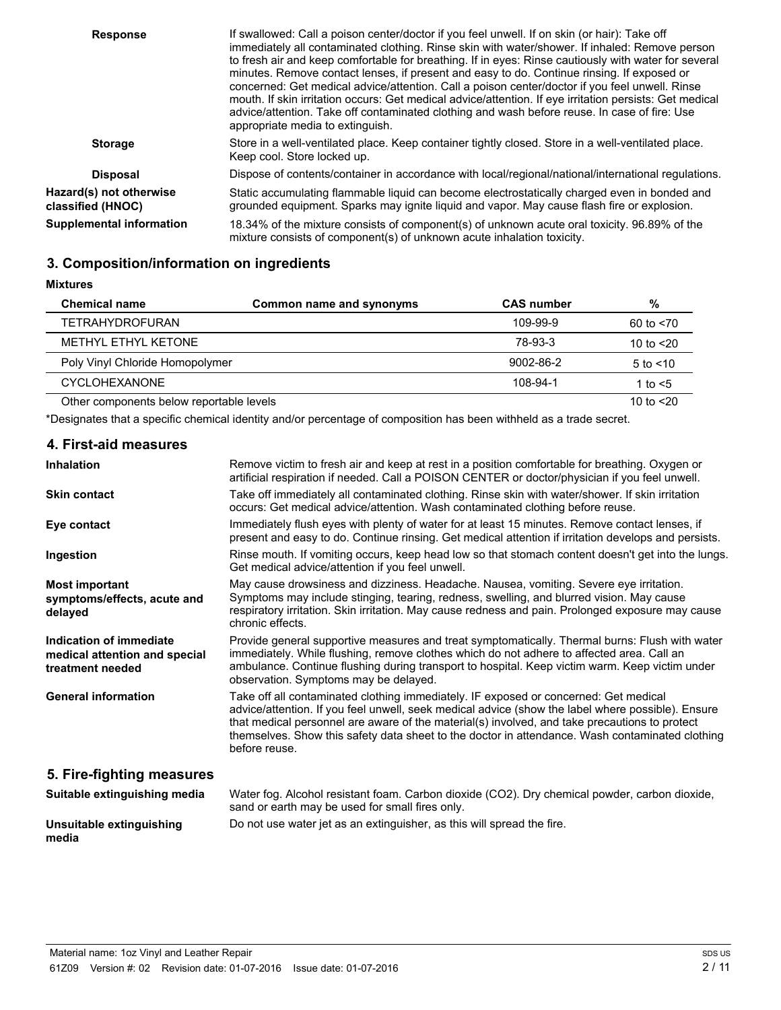| <b>Response</b>                              | If swallowed: Call a poison center/doctor if you feel unwell. If on skin (or hair): Take off<br>immediately all contaminated clothing. Rinse skin with water/shower. If inhaled: Remove person<br>to fresh air and keep comfortable for breathing. If in eyes: Rinse cautiously with water for several<br>minutes. Remove contact lenses, if present and easy to do. Continue rinsing. If exposed or<br>concerned: Get medical advice/attention. Call a poison center/doctor if you feel unwell. Rinse<br>mouth. If skin irritation occurs: Get medical advice/attention. If eye irritation persists: Get medical<br>advice/attention. Take off contaminated clothing and wash before reuse. In case of fire: Use<br>appropriate media to extinguish. |
|----------------------------------------------|-------------------------------------------------------------------------------------------------------------------------------------------------------------------------------------------------------------------------------------------------------------------------------------------------------------------------------------------------------------------------------------------------------------------------------------------------------------------------------------------------------------------------------------------------------------------------------------------------------------------------------------------------------------------------------------------------------------------------------------------------------|
| <b>Storage</b>                               | Store in a well-ventilated place. Keep container tightly closed. Store in a well-ventilated place.<br>Keep cool. Store locked up.                                                                                                                                                                                                                                                                                                                                                                                                                                                                                                                                                                                                                     |
| <b>Disposal</b>                              | Dispose of contents/container in accordance with local/regional/national/international regulations.                                                                                                                                                                                                                                                                                                                                                                                                                                                                                                                                                                                                                                                   |
| Hazard(s) not otherwise<br>classified (HNOC) | Static accumulating flammable liquid can become electrostatically charged even in bonded and<br>grounded equipment. Sparks may ignite liquid and vapor. May cause flash fire or explosion.                                                                                                                                                                                                                                                                                                                                                                                                                                                                                                                                                            |
| <b>Supplemental information</b>              | 18.34% of the mixture consists of component(s) of unknown acute oral toxicity. 96.89% of the<br>mixture consists of component(s) of unknown acute inhalation toxicity.                                                                                                                                                                                                                                                                                                                                                                                                                                                                                                                                                                                |

# **3. Composition/information on ingredients**

| <b>Mixtures</b>                          |                          |                   |               |
|------------------------------------------|--------------------------|-------------------|---------------|
| <b>Chemical name</b>                     | Common name and synonyms | <b>CAS number</b> | %             |
| <b>TETRAHYDROFURAN</b>                   |                          | 109-99-9          | 60 to $< 70$  |
| METHYL ETHYL KETONE                      |                          | 78-93-3           | 10 to $<$ 20  |
| Poly Vinyl Chloride Homopolymer          |                          | 9002-86-2         | $5$ to $<$ 10 |
| <b>CYCLOHEXANONE</b>                     |                          | 108-94-1          | 1 to $<$ 5    |
| Other components below reportable levels |                          |                   | 10 to $<$ 20  |

\*Designates that a specific chemical identity and/or percentage of composition has been withheld as a trade secret.

| 4. First-aid measures                                                        |                                                                                                                                                                                                                                                                                                                                                                                                                |
|------------------------------------------------------------------------------|----------------------------------------------------------------------------------------------------------------------------------------------------------------------------------------------------------------------------------------------------------------------------------------------------------------------------------------------------------------------------------------------------------------|
| <b>Inhalation</b>                                                            | Remove victim to fresh air and keep at rest in a position comfortable for breathing. Oxygen or<br>artificial respiration if needed. Call a POISON CENTER or doctor/physician if you feel unwell.                                                                                                                                                                                                               |
| <b>Skin contact</b>                                                          | Take off immediately all contaminated clothing. Rinse skin with water/shower. If skin irritation<br>occurs: Get medical advice/attention. Wash contaminated clothing before reuse.                                                                                                                                                                                                                             |
| Eye contact                                                                  | Immediately flush eyes with plenty of water for at least 15 minutes. Remove contact lenses, if<br>present and easy to do. Continue rinsing. Get medical attention if irritation develops and persists.                                                                                                                                                                                                         |
| Ingestion                                                                    | Rinse mouth. If vomiting occurs, keep head low so that stomach content doesn't get into the lungs.<br>Get medical advice/attention if you feel unwell.                                                                                                                                                                                                                                                         |
| <b>Most important</b><br>symptoms/effects, acute and<br>delayed              | May cause drowsiness and dizziness. Headache. Nausea, vomiting. Severe eye irritation.<br>Symptoms may include stinging, tearing, redness, swelling, and blurred vision. May cause<br>respiratory irritation. Skin irritation. May cause redness and pain. Prolonged exposure may cause<br>chronic effects.                                                                                                    |
| Indication of immediate<br>medical attention and special<br>treatment needed | Provide general supportive measures and treat symptomatically. Thermal burns: Flush with water<br>immediately. While flushing, remove clothes which do not adhere to affected area. Call an<br>ambulance. Continue flushing during transport to hospital. Keep victim warm. Keep victim under<br>observation. Symptoms may be delayed.                                                                         |
| <b>General information</b>                                                   | Take off all contaminated clothing immediately. IF exposed or concerned: Get medical<br>advice/attention. If you feel unwell, seek medical advice (show the label where possible). Ensure<br>that medical personnel are aware of the material(s) involved, and take precautions to protect<br>themselves. Show this safety data sheet to the doctor in attendance. Wash contaminated clothing<br>before reuse. |
| 5. Fire-fighting measures                                                    |                                                                                                                                                                                                                                                                                                                                                                                                                |
| Suitable extinguishing media                                                 | Water fog. Alcohol resistant foam. Carbon dioxide (CO2). Dry chemical powder, carbon dioxide,<br>sand or earth may be used for small fires only.                                                                                                                                                                                                                                                               |

#### **Unsuitable extinguishing** Do not use water jet as an extinguisher, as this will spread the fire. **media**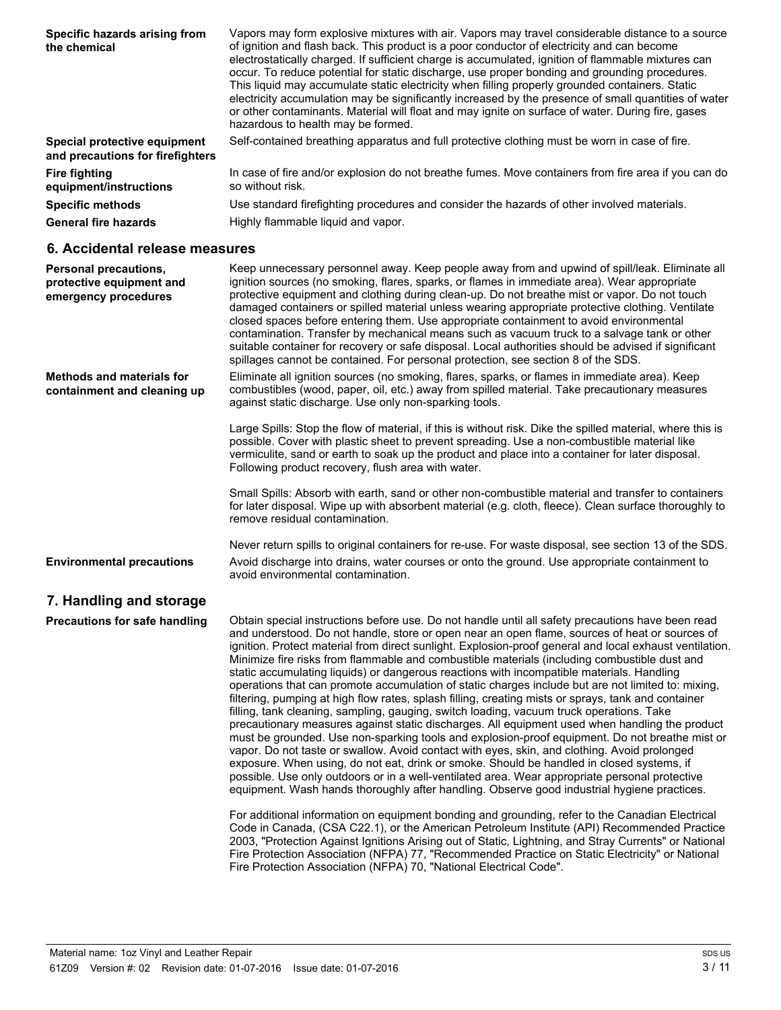| Specific hazards arising from<br>the chemical                    | Vapors may form explosive mixtures with air. Vapors may travel considerable distance to a source<br>of ignition and flash back. This product is a poor conductor of electricity and can become<br>electrostatically charged. If sufficient charge is accumulated, ignition of flammable mixtures can<br>occur. To reduce potential for static discharge, use proper bonding and grounding procedures.<br>This liquid may accumulate static electricity when filling properly grounded containers. Static<br>electricity accumulation may be significantly increased by the presence of small quantities of water<br>or other contaminants. Material will float and may ignite on surface of water. During fire, gases<br>hazardous to health may be formed. |
|------------------------------------------------------------------|-------------------------------------------------------------------------------------------------------------------------------------------------------------------------------------------------------------------------------------------------------------------------------------------------------------------------------------------------------------------------------------------------------------------------------------------------------------------------------------------------------------------------------------------------------------------------------------------------------------------------------------------------------------------------------------------------------------------------------------------------------------|
| Special protective equipment<br>and precautions for firefighters | Self-contained breathing apparatus and full protective clothing must be worn in case of fire.                                                                                                                                                                                                                                                                                                                                                                                                                                                                                                                                                                                                                                                               |
| <b>Fire fighting</b><br>equipment/instructions                   | In case of fire and/or explosion do not breathe fumes. Move containers from fire area if you can do<br>so without risk.                                                                                                                                                                                                                                                                                                                                                                                                                                                                                                                                                                                                                                     |
| <b>Specific methods</b>                                          | Use standard firefighting procedures and consider the hazards of other involved materials.                                                                                                                                                                                                                                                                                                                                                                                                                                                                                                                                                                                                                                                                  |
| <b>General fire hazards</b>                                      | Highly flammable liquid and vapor.                                                                                                                                                                                                                                                                                                                                                                                                                                                                                                                                                                                                                                                                                                                          |

### **6. Accidental release measures**

| Personal precautions,<br>protective equipment and<br>emergency procedures | Keep unnecessary personnel away. Keep people away from and upwind of spill/leak. Eliminate all<br>ignition sources (no smoking, flares, sparks, or flames in immediate area). Wear appropriate<br>protective equipment and clothing during clean-up. Do not breathe mist or vapor. Do not touch<br>damaged containers or spilled material unless wearing appropriate protective clothing. Ventilate<br>closed spaces before entering them. Use appropriate containment to avoid environmental<br>contamination. Transfer by mechanical means such as vacuum truck to a salvage tank or other<br>suitable container for recovery or safe disposal. Local authorities should be advised if significant<br>spillages cannot be contained. For personal protection, see section 8 of the SDS. |
|---------------------------------------------------------------------------|-------------------------------------------------------------------------------------------------------------------------------------------------------------------------------------------------------------------------------------------------------------------------------------------------------------------------------------------------------------------------------------------------------------------------------------------------------------------------------------------------------------------------------------------------------------------------------------------------------------------------------------------------------------------------------------------------------------------------------------------------------------------------------------------|
| <b>Methods and materials for</b><br>containment and cleaning up           | Eliminate all ignition sources (no smoking, flares, sparks, or flames in immediate area). Keep<br>combustibles (wood, paper, oil, etc.) away from spilled material. Take precautionary measures<br>against static discharge. Use only non-sparking tools.                                                                                                                                                                                                                                                                                                                                                                                                                                                                                                                                 |
|                                                                           | Large Spills: Stop the flow of material, if this is without risk. Dike the spilled material, where this is<br>possible. Cover with plastic sheet to prevent spreading. Use a non-combustible material like<br>vermiculite, sand or earth to soak up the product and place into a container for later disposal.<br>Following product recovery, flush area with water.                                                                                                                                                                                                                                                                                                                                                                                                                      |
|                                                                           | Small Spills: Absorb with earth, sand or other non-combustible material and transfer to containers<br>for later disposal. Wipe up with absorbent material (e.g. cloth, fleece). Clean surface thoroughly to<br>remove residual contamination.                                                                                                                                                                                                                                                                                                                                                                                                                                                                                                                                             |
| <b>Environmental precautions</b>                                          | Never return spills to original containers for re-use. For waste disposal, see section 13 of the SDS.<br>Avoid discharge into drains, water courses or onto the ground. Use appropriate containment to<br>avoid environmental contamination.                                                                                                                                                                                                                                                                                                                                                                                                                                                                                                                                              |

# **7. Handling and storage**

Obtain special instructions before use. Do not handle until all safety precautions have been read and understood. Do not handle, store or open near an open flame, sources of heat or sources of ignition. Protect material from direct sunlight. Explosion-proof general and local exhaust ventilation. Minimize fire risks from flammable and combustible materials (including combustible dust and static accumulating liquids) or dangerous reactions with incompatible materials. Handling operations that can promote accumulation of static charges include but are not limited to: mixing, filtering, pumping at high flow rates, splash filling, creating mists or sprays, tank and container filling, tank cleaning, sampling, gauging, switch loading, vacuum truck operations. Take precautionary measures against static discharges. All equipment used when handling the product must be grounded. Use non-sparking tools and explosion-proof equipment. Do not breathe mist or vapor. Do not taste or swallow. Avoid contact with eyes, skin, and clothing. Avoid prolonged exposure. When using, do not eat, drink or smoke. Should be handled in closed systems, if possible. Use only outdoors or in a well-ventilated area. Wear appropriate personal protective equipment. Wash hands thoroughly after handling. Observe good industrial hygiene practices. **Precautions for safe handling**

> For additional information on equipment bonding and grounding, refer to the Canadian Electrical Code in Canada, (CSA C22.1), or the American Petroleum Institute (API) Recommended Practice 2003, "Protection Against Ignitions Arising out of Static, Lightning, and Stray Currents" or National Fire Protection Association (NFPA) 77, "Recommended Practice on Static Electricity" or National Fire Protection Association (NFPA) 70, "National Electrical Code".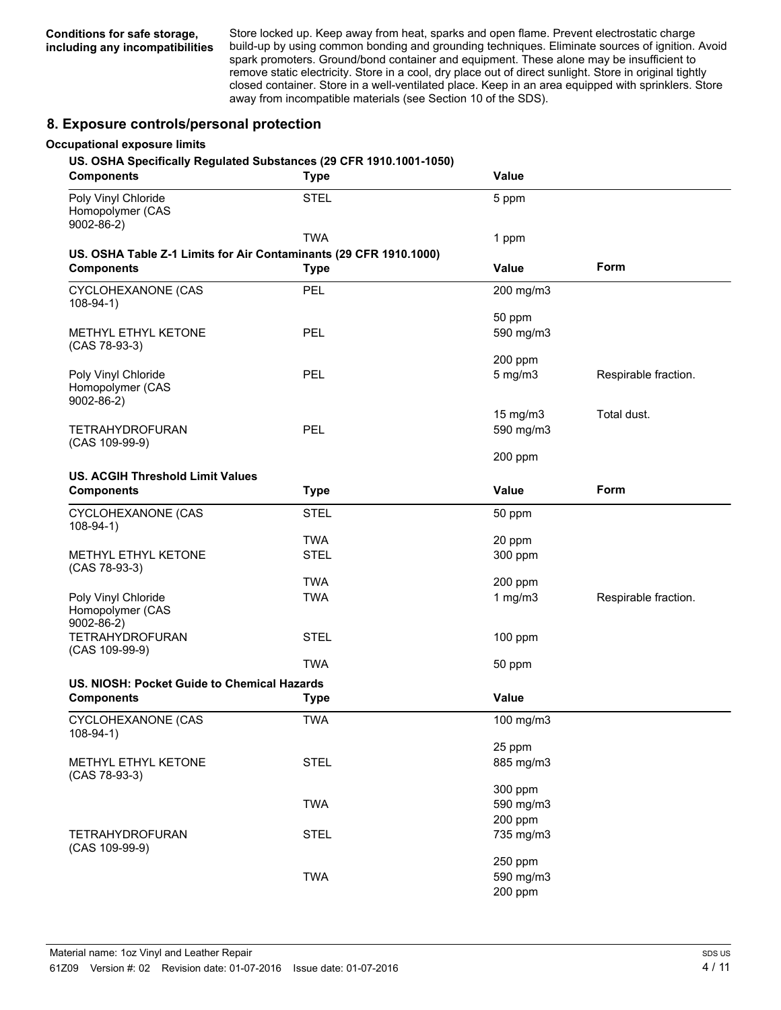Store locked up. Keep away from heat, sparks and open flame. Prevent electrostatic charge build-up by using common bonding and grounding techniques. Eliminate sources of ignition. Avoid spark promoters. Ground/bond container and equipment. These alone may be insufficient to remove static electricity. Store in a cool, dry place out of direct sunlight. Store in original tightly closed container. Store in a well-ventilated place. Keep in an area equipped with sprinklers. Store away from incompatible materials (see Section 10 of the SDS).

## **8. Exposure controls/personal protection**

#### **Occupational exposure limits**

#### **US. OSHA Specifically Regulated Substances (29 CFR 1910.1001-1050)**

| <b>Components</b>                                                | <b>Type</b>                                                                      | <b>Value</b>                    |                      |
|------------------------------------------------------------------|----------------------------------------------------------------------------------|---------------------------------|----------------------|
| Poly Vinyl Chloride<br>Homopolymer (CAS<br>$9002 - 86 - 2$       | <b>STEL</b>                                                                      | 5 ppm                           |                      |
|                                                                  | <b>TWA</b>                                                                       | 1 ppm                           |                      |
| <b>Components</b>                                                | US. OSHA Table Z-1 Limits for Air Contaminants (29 CFR 1910.1000)<br><b>Type</b> | Value                           | Form                 |
| CYCLOHEXANONE (CAS<br>$108-94-1)$                                | <b>PEL</b>                                                                       | 200 mg/m3                       |                      |
| METHYL ETHYL KETONE<br>(CAS 78-93-3)                             | <b>PEL</b>                                                                       | 50 ppm<br>590 mg/m3             |                      |
| Poly Vinyl Chloride<br>Homopolymer (CAS<br>$9002 - 86 - 2$       | <b>PEL</b>                                                                       | 200 ppm<br>$5$ mg/m $3$         | Respirable fraction. |
| <b>TETRAHYDROFURAN</b><br>(CAS 109-99-9)                         | PEL                                                                              | 15 mg/m3<br>590 mg/m3           | Total dust.          |
|                                                                  |                                                                                  | 200 ppm                         |                      |
| <b>US. ACGIH Threshold Limit Values</b><br><b>Components</b>     | <b>Type</b>                                                                      | Value                           | Form                 |
| CYCLOHEXANONE (CAS<br>$108-94-1)$                                | <b>STEL</b>                                                                      | 50 ppm                          |                      |
| METHYL ETHYL KETONE                                              | <b>TWA</b><br><b>STEL</b>                                                        | 20 ppm<br>300 ppm               |                      |
| (CAS 78-93-3)                                                    | <b>TWA</b>                                                                       | 200 ppm                         |                      |
| Poly Vinyl Chloride<br>Homopolymer (CAS                          | <b>TWA</b>                                                                       | 1 $mg/m3$                       | Respirable fraction. |
| $9002 - 86 - 2$<br><b>TETRAHYDROFURAN</b><br>(CAS 109-99-9)      | <b>STEL</b>                                                                      | 100 ppm                         |                      |
|                                                                  | <b>TWA</b>                                                                       | 50 ppm                          |                      |
| US. NIOSH: Pocket Guide to Chemical Hazards<br><b>Components</b> |                                                                                  | Value                           |                      |
|                                                                  | <b>Type</b>                                                                      |                                 |                      |
| CYCLOHEXANONE (CAS<br>$108-94-1)$                                | <b>TWA</b>                                                                       | 100 mg/m3                       |                      |
| METHYL ETHYL KETONE<br>(CAS 78-93-3)                             | <b>STEL</b>                                                                      | 25 ppm<br>885 mg/m3             |                      |
|                                                                  | <b>TWA</b>                                                                       | 300 ppm<br>590 mg/m3<br>200 ppm |                      |
| <b>TETRAHYDROFURAN</b>                                           | <b>STEL</b>                                                                      | 735 mg/m3                       |                      |
| (CAS 109-99-9)                                                   | <b>TWA</b>                                                                       | 250 ppm<br>590 mg/m3<br>200 ppm |                      |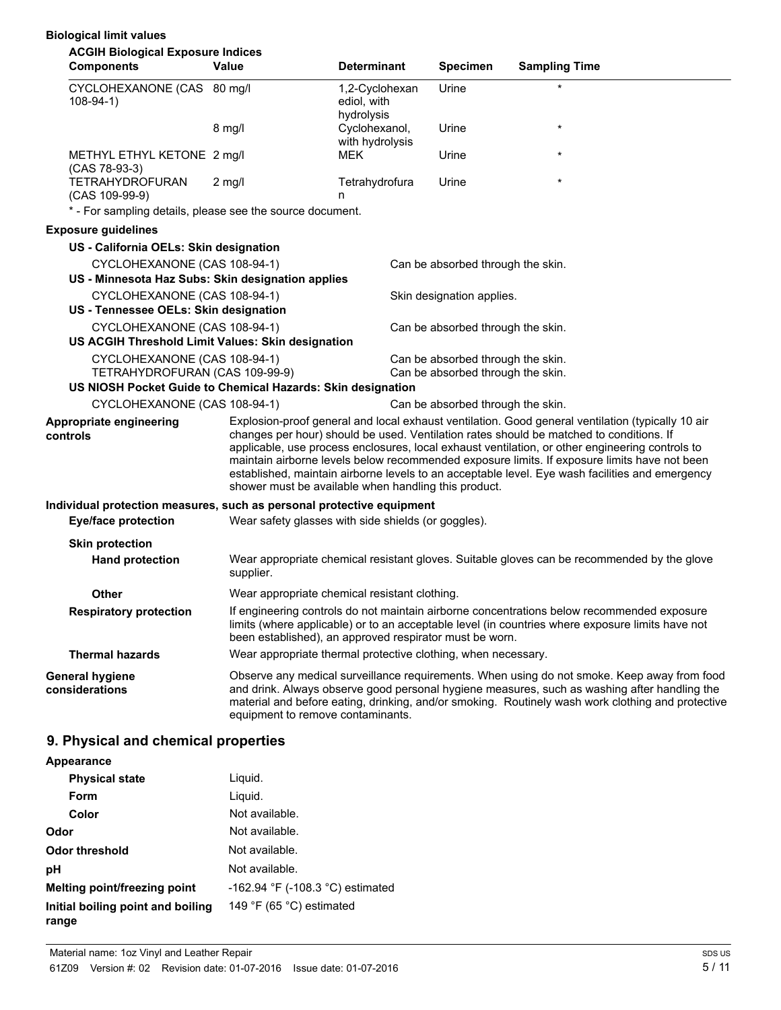## **Biological limit values**

| <b>ACGIH Biological Exposure Indices</b><br><b>Components</b>                     | <b>Value</b>                                                  | <b>Determinant</b>               | <b>Specimen</b>                   | <b>Sampling Time</b>                                                                                                                                                                                                                                                                                                                                                                                                                                                                               |
|-----------------------------------------------------------------------------------|---------------------------------------------------------------|----------------------------------|-----------------------------------|----------------------------------------------------------------------------------------------------------------------------------------------------------------------------------------------------------------------------------------------------------------------------------------------------------------------------------------------------------------------------------------------------------------------------------------------------------------------------------------------------|
|                                                                                   |                                                               |                                  |                                   | $\star$                                                                                                                                                                                                                                                                                                                                                                                                                                                                                            |
| CYCLOHEXANONE (CAS 80 mg/l<br>$108-94-1)$                                         |                                                               | 1,2-Cyclohexan<br>ediol, with    | Urine                             |                                                                                                                                                                                                                                                                                                                                                                                                                                                                                                    |
|                                                                                   |                                                               | hydrolysis                       |                                   |                                                                                                                                                                                                                                                                                                                                                                                                                                                                                                    |
|                                                                                   | $8$ mg/l                                                      | Cyclohexanol,<br>with hydrolysis | Urine                             | $\star$                                                                                                                                                                                                                                                                                                                                                                                                                                                                                            |
| METHYL ETHYL KETONE 2 mg/l<br>(CAS 78-93-3)                                       |                                                               | <b>MEK</b>                       | Urine                             | $\star$                                                                                                                                                                                                                                                                                                                                                                                                                                                                                            |
| <b>TETRAHYDROFURAN</b><br>(CAS 109-99-9)                                          | $2 \text{ mq/l}$                                              | Tetrahydrofura<br>n              | Urine                             | $\star$                                                                                                                                                                                                                                                                                                                                                                                                                                                                                            |
| * - For sampling details, please see the source document.                         |                                                               |                                  |                                   |                                                                                                                                                                                                                                                                                                                                                                                                                                                                                                    |
| <b>Exposure guidelines</b>                                                        |                                                               |                                  |                                   |                                                                                                                                                                                                                                                                                                                                                                                                                                                                                                    |
| US - California OELs: Skin designation                                            |                                                               |                                  |                                   |                                                                                                                                                                                                                                                                                                                                                                                                                                                                                                    |
| CYCLOHEXANONE (CAS 108-94-1)                                                      |                                                               |                                  | Can be absorbed through the skin. |                                                                                                                                                                                                                                                                                                                                                                                                                                                                                                    |
| US - Minnesota Haz Subs: Skin designation applies                                 |                                                               |                                  |                                   |                                                                                                                                                                                                                                                                                                                                                                                                                                                                                                    |
| CYCLOHEXANONE (CAS 108-94-1)                                                      |                                                               |                                  | Skin designation applies.         |                                                                                                                                                                                                                                                                                                                                                                                                                                                                                                    |
| US - Tennessee OELs: Skin designation                                             |                                                               |                                  |                                   |                                                                                                                                                                                                                                                                                                                                                                                                                                                                                                    |
| CYCLOHEXANONE (CAS 108-94-1)<br>US ACGIH Threshold Limit Values: Skin designation |                                                               |                                  | Can be absorbed through the skin. |                                                                                                                                                                                                                                                                                                                                                                                                                                                                                                    |
| CYCLOHEXANONE (CAS 108-94-1)                                                      |                                                               |                                  | Can be absorbed through the skin. |                                                                                                                                                                                                                                                                                                                                                                                                                                                                                                    |
| TETRAHYDROFURAN (CAS 109-99-9)                                                    |                                                               |                                  | Can be absorbed through the skin. |                                                                                                                                                                                                                                                                                                                                                                                                                                                                                                    |
| US NIOSH Pocket Guide to Chemical Hazards: Skin designation                       |                                                               |                                  |                                   |                                                                                                                                                                                                                                                                                                                                                                                                                                                                                                    |
| CYCLOHEXANONE (CAS 108-94-1)                                                      |                                                               |                                  | Can be absorbed through the skin. |                                                                                                                                                                                                                                                                                                                                                                                                                                                                                                    |
| Appropriate engineering<br>controls                                               | shower must be available when handling this product.          |                                  |                                   | Explosion-proof general and local exhaust ventilation. Good general ventilation (typically 10 air<br>changes per hour) should be used. Ventilation rates should be matched to conditions. If<br>applicable, use process enclosures, local exhaust ventilation, or other engineering controls to<br>maintain airborne levels below recommended exposure limits. If exposure limits have not been<br>established, maintain airborne levels to an acceptable level. Eye wash facilities and emergency |
| Individual protection measures, such as personal protective equipment             |                                                               |                                  |                                   |                                                                                                                                                                                                                                                                                                                                                                                                                                                                                                    |
| <b>Eye/face protection</b>                                                        | Wear safety glasses with side shields (or goggles).           |                                  |                                   |                                                                                                                                                                                                                                                                                                                                                                                                                                                                                                    |
| <b>Skin protection</b>                                                            |                                                               |                                  |                                   |                                                                                                                                                                                                                                                                                                                                                                                                                                                                                                    |
| <b>Hand protection</b>                                                            | supplier.                                                     |                                  |                                   | Wear appropriate chemical resistant gloves. Suitable gloves can be recommended by the glove                                                                                                                                                                                                                                                                                                                                                                                                        |
| <b>Other</b>                                                                      | Wear appropriate chemical resistant clothing.                 |                                  |                                   |                                                                                                                                                                                                                                                                                                                                                                                                                                                                                                    |
| <b>Respiratory protection</b>                                                     | been established), an approved respirator must be worn.       |                                  |                                   | If engineering controls do not maintain airborne concentrations below recommended exposure<br>limits (where applicable) or to an acceptable level (in countries where exposure limits have not                                                                                                                                                                                                                                                                                                     |
| <b>Thermal hazards</b>                                                            | Wear appropriate thermal protective clothing, when necessary. |                                  |                                   |                                                                                                                                                                                                                                                                                                                                                                                                                                                                                                    |
| General hygiene<br>considerations                                                 | equipment to remove contaminants.                             |                                  |                                   | Observe any medical surveillance requirements. When using do not smoke. Keep away from food<br>and drink. Always observe good personal hygiene measures, such as washing after handling the<br>material and before eating, drinking, and/or smoking. Routinely wash work clothing and protective                                                                                                                                                                                                   |
| 9. Physical and chemical properties                                               |                                                               |                                  |                                   |                                                                                                                                                                                                                                                                                                                                                                                                                                                                                                    |

#### **Appearance**

| <b>Physical state</b>                      | Liguid.                          |
|--------------------------------------------|----------------------------------|
| Form                                       | Liguid.                          |
| Color                                      | Not available.                   |
| Odor                                       | Not available.                   |
| <b>Odor threshold</b>                      | Not available.                   |
| рH                                         | Not available.                   |
| Melting point/freezing point               | -162.94 °F (-108.3 °C) estimated |
| Initial boiling point and boiling<br>range | 149 °F (65 °C) estimated         |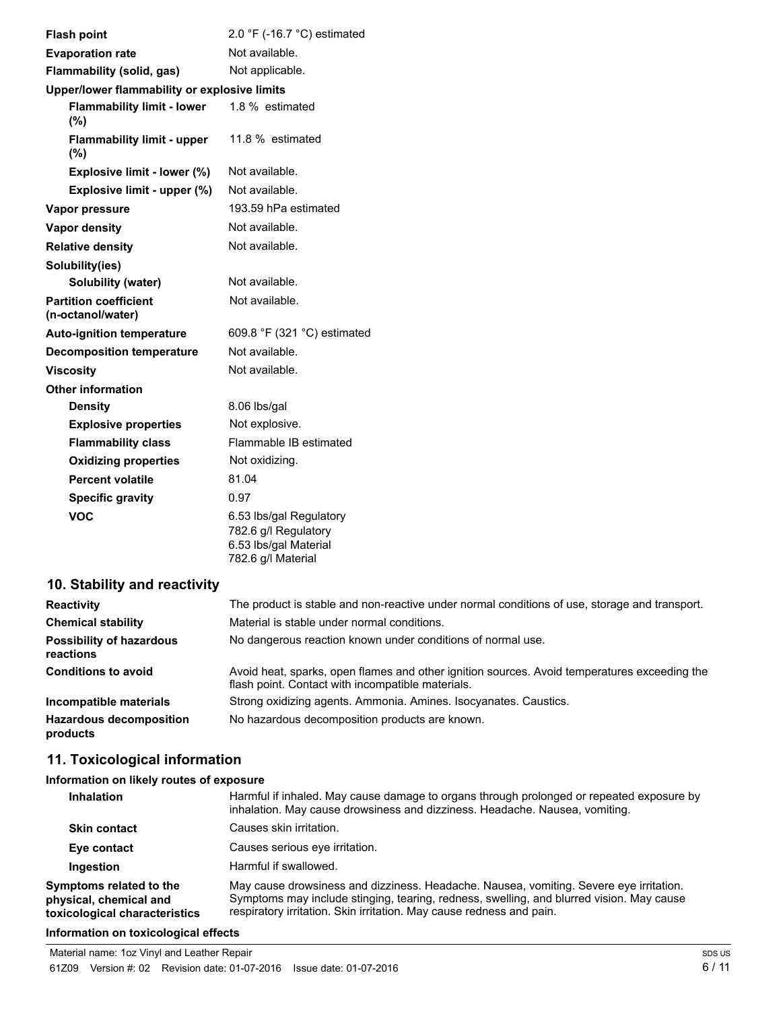| <b>Flash point</b>                                | 2.0 $\degree$ F (-16.7 $\degree$ C) estimated                                                  |  |
|---------------------------------------------------|------------------------------------------------------------------------------------------------|--|
| <b>Evaporation rate</b>                           | Not available.                                                                                 |  |
| Flammability (solid, gas)                         | Not applicable.                                                                                |  |
| Upper/lower flammability or explosive limits      |                                                                                                |  |
| <b>Flammability limit - lower</b><br>(%)          | 1.8 % estimated                                                                                |  |
| <b>Flammability limit - upper</b><br>(%)          | 11.8 % estimated                                                                               |  |
| Explosive limit - lower (%)                       | Not available.                                                                                 |  |
| Explosive limit - upper (%)                       | Not available.                                                                                 |  |
| Vapor pressure                                    | 193.59 hPa estimated                                                                           |  |
| Vapor density                                     | Not available.                                                                                 |  |
| <b>Relative density</b>                           | Not available.                                                                                 |  |
| Solubility(ies)                                   |                                                                                                |  |
| <b>Solubility (water)</b>                         | Not available.                                                                                 |  |
| <b>Partition coefficient</b><br>(n-octanol/water) | Not available.                                                                                 |  |
| <b>Auto-ignition temperature</b>                  | 609.8 °F (321 °C) estimated                                                                    |  |
| <b>Decomposition temperature</b>                  | Not available.                                                                                 |  |
| <b>Viscosity</b>                                  | Not available.                                                                                 |  |
| <b>Other information</b>                          |                                                                                                |  |
| <b>Density</b>                                    | 8.06 lbs/gal                                                                                   |  |
| <b>Explosive properties</b>                       | Not explosive.                                                                                 |  |
| <b>Flammability class</b>                         | Flammable IB estimated                                                                         |  |
| <b>Oxidizing properties</b>                       | Not oxidizing.                                                                                 |  |
| <b>Percent volatile</b>                           | 81.04                                                                                          |  |
| <b>Specific gravity</b>                           | 0.97                                                                                           |  |
| <b>VOC</b>                                        | 6.53 lbs/gal Regulatory<br>782.6 g/l Regulatory<br>6.53 lbs/gal Material<br>782.6 g/l Material |  |

# **10. Stability and reactivity**

| <b>Reactivity</b>                            | The product is stable and non-reactive under normal conditions of use, storage and transport.                                                     |
|----------------------------------------------|---------------------------------------------------------------------------------------------------------------------------------------------------|
| <b>Chemical stability</b>                    | Material is stable under normal conditions.                                                                                                       |
| <b>Possibility of hazardous</b><br>reactions | No dangerous reaction known under conditions of normal use.                                                                                       |
| <b>Conditions to avoid</b>                   | Avoid heat, sparks, open flames and other ignition sources. Avoid temperatures exceeding the<br>flash point. Contact with incompatible materials. |
| Incompatible materials                       | Strong oxidizing agents. Ammonia. Amines. Isocyanates. Caustics.                                                                                  |
| <b>Hazardous decomposition</b><br>products   | No hazardous decomposition products are known.                                                                                                    |

# **11. Toxicological information**

## **Information on likely routes of exposure**

| Inhalation                                                                         | Harmful if inhaled. May cause damage to organs through prolonged or repeated exposure by<br>inhalation. May cause drowsiness and dizziness. Headache. Nausea, vomiting.                                                                                    |
|------------------------------------------------------------------------------------|------------------------------------------------------------------------------------------------------------------------------------------------------------------------------------------------------------------------------------------------------------|
| <b>Skin contact</b>                                                                | Causes skin irritation.                                                                                                                                                                                                                                    |
| Eye contact                                                                        | Causes serious eve irritation.                                                                                                                                                                                                                             |
| Ingestion                                                                          | Harmful if swallowed.                                                                                                                                                                                                                                      |
| Symptoms related to the<br>physical, chemical and<br>toxicological characteristics | May cause drowsiness and dizziness. Headache. Nausea, vomiting. Severe eye irritation.<br>Symptoms may include stinging, tearing, redness, swelling, and blurred vision. May cause<br>respiratory irritation. Skin irritation. May cause redness and pain. |

#### **Information on toxicological effects**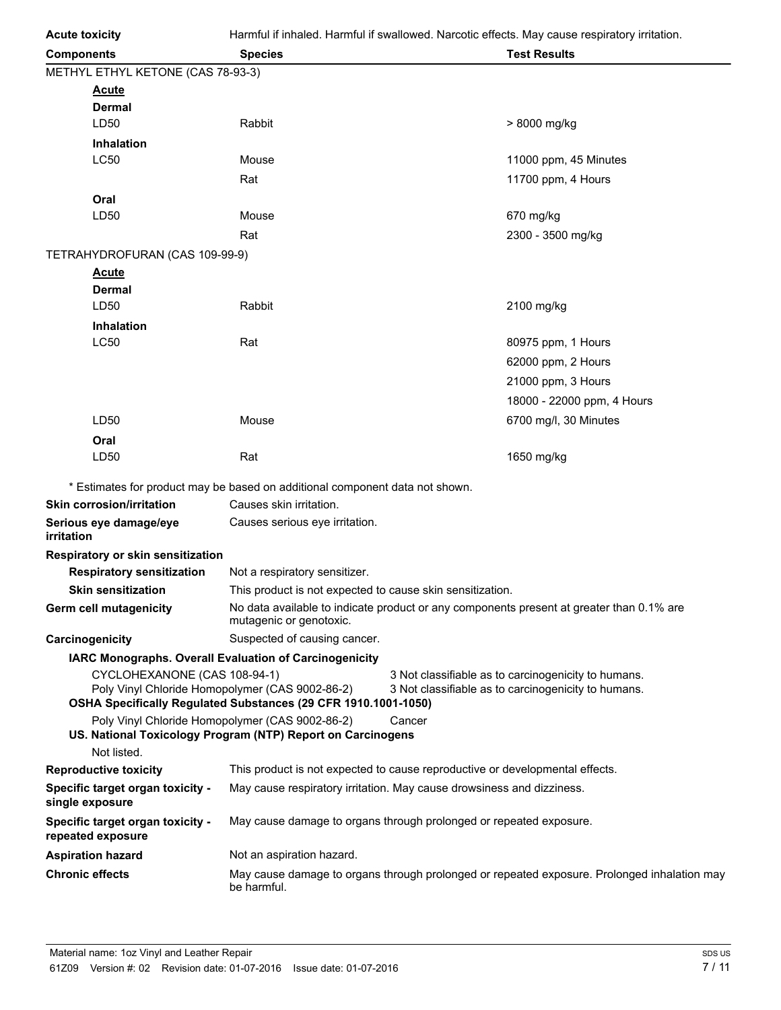| <b>Acute toxicity</b>                                                           | Harmful if inhaled. Harmful if swallowed. Narcotic effects. May cause respiratory irritation. |        |                                                                                                            |
|---------------------------------------------------------------------------------|-----------------------------------------------------------------------------------------------|--------|------------------------------------------------------------------------------------------------------------|
| <b>Components</b>                                                               | <b>Species</b>                                                                                |        | <b>Test Results</b>                                                                                        |
| METHYL ETHYL KETONE (CAS 78-93-3)                                               |                                                                                               |        |                                                                                                            |
| <u>Acute</u>                                                                    |                                                                                               |        |                                                                                                            |
| Dermal                                                                          |                                                                                               |        |                                                                                                            |
| LD50                                                                            | Rabbit                                                                                        |        | > 8000 mg/kg                                                                                               |
| <b>Inhalation</b>                                                               |                                                                                               |        |                                                                                                            |
| <b>LC50</b>                                                                     | Mouse                                                                                         |        | 11000 ppm, 45 Minutes                                                                                      |
|                                                                                 | Rat                                                                                           |        | 11700 ppm, 4 Hours                                                                                         |
| Oral                                                                            |                                                                                               |        |                                                                                                            |
| LD50                                                                            | Mouse                                                                                         |        | 670 mg/kg                                                                                                  |
|                                                                                 | Rat                                                                                           |        | 2300 - 3500 mg/kg                                                                                          |
| TETRAHYDROFURAN (CAS 109-99-9)                                                  |                                                                                               |        |                                                                                                            |
| <u>Acute</u>                                                                    |                                                                                               |        |                                                                                                            |
| Dermal                                                                          | Rabbit                                                                                        |        |                                                                                                            |
| LD50                                                                            |                                                                                               |        | 2100 mg/kg                                                                                                 |
| <b>Inhalation</b><br><b>LC50</b>                                                | Rat                                                                                           |        | 80975 ppm, 1 Hours                                                                                         |
|                                                                                 |                                                                                               |        |                                                                                                            |
|                                                                                 |                                                                                               |        | 62000 ppm, 2 Hours                                                                                         |
|                                                                                 |                                                                                               |        | 21000 ppm, 3 Hours                                                                                         |
|                                                                                 |                                                                                               |        | 18000 - 22000 ppm, 4 Hours                                                                                 |
| LD50                                                                            | Mouse                                                                                         |        | 6700 mg/l, 30 Minutes                                                                                      |
| Oral                                                                            |                                                                                               |        |                                                                                                            |
| LD50                                                                            | Rat                                                                                           |        | 1650 mg/kg                                                                                                 |
|                                                                                 | * Estimates for product may be based on additional component data not shown.                  |        |                                                                                                            |
| <b>Skin corrosion/irritation</b>                                                | Causes skin irritation.                                                                       |        |                                                                                                            |
| Serious eye damage/eye<br>irritation                                            | Causes serious eye irritation.                                                                |        |                                                                                                            |
| Respiratory or skin sensitization                                               |                                                                                               |        |                                                                                                            |
| <b>Respiratory sensitization</b>                                                | Not a respiratory sensitizer.                                                                 |        |                                                                                                            |
| <b>Skin sensitization</b>                                                       | This product is not expected to cause skin sensitization.                                     |        |                                                                                                            |
| Germ cell mutagenicity                                                          | mutagenic or genotoxic.                                                                       |        | No data available to indicate product or any components present at greater than 0.1% are                   |
| Carcinogenicity                                                                 | Suspected of causing cancer.                                                                  |        |                                                                                                            |
|                                                                                 | IARC Monographs. Overall Evaluation of Carcinogenicity                                        |        |                                                                                                            |
| CYCLOHEXANONE (CAS 108-94-1)<br>Poly Vinyl Chloride Homopolymer (CAS 9002-86-2) | OSHA Specifically Regulated Substances (29 CFR 1910.1001-1050)                                |        | 3 Not classifiable as to carcinogenicity to humans.<br>3 Not classifiable as to carcinogenicity to humans. |
| Poly Vinyl Chloride Homopolymer (CAS 9002-86-2)                                 | US. National Toxicology Program (NTP) Report on Carcinogens                                   | Cancer |                                                                                                            |
| Not listed.                                                                     |                                                                                               |        |                                                                                                            |
| <b>Reproductive toxicity</b>                                                    | This product is not expected to cause reproductive or developmental effects.                  |        |                                                                                                            |
| Specific target organ toxicity -<br>single exposure                             | May cause respiratory irritation. May cause drowsiness and dizziness.                         |        |                                                                                                            |
| Specific target organ toxicity -<br>repeated exposure                           | May cause damage to organs through prolonged or repeated exposure.                            |        |                                                                                                            |
| <b>Aspiration hazard</b>                                                        | Not an aspiration hazard.                                                                     |        |                                                                                                            |
| <b>Chronic effects</b>                                                          | be harmful.                                                                                   |        | May cause damage to organs through prolonged or repeated exposure. Prolonged inhalation may                |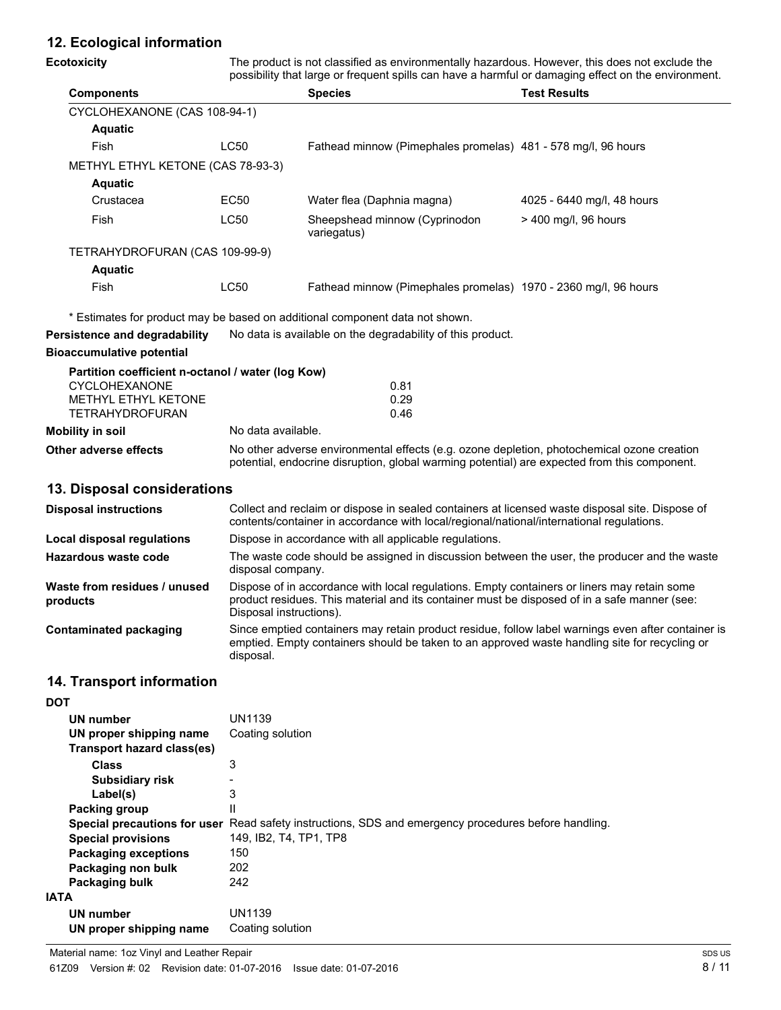# **12. Ecological information**

| <b>Ecotoxicity</b>                                                                                           | The product is not classified as environmentally hazardous. However, this does not exclude the<br>possibility that large or frequent spills can have a harmful or damaging effect on the environment. |                                                                                                                                                                                                     |                            |
|--------------------------------------------------------------------------------------------------------------|-------------------------------------------------------------------------------------------------------------------------------------------------------------------------------------------------------|-----------------------------------------------------------------------------------------------------------------------------------------------------------------------------------------------------|----------------------------|
| <b>Components</b>                                                                                            |                                                                                                                                                                                                       | <b>Species</b>                                                                                                                                                                                      | <b>Test Results</b>        |
| CYCLOHEXANONE (CAS 108-94-1)                                                                                 |                                                                                                                                                                                                       |                                                                                                                                                                                                     |                            |
| <b>Aquatic</b>                                                                                               |                                                                                                                                                                                                       |                                                                                                                                                                                                     |                            |
| Fish                                                                                                         | LC50                                                                                                                                                                                                  | Fathead minnow (Pimephales promelas) 481 - 578 mg/l, 96 hours                                                                                                                                       |                            |
| METHYL ETHYL KETONE (CAS 78-93-3)                                                                            |                                                                                                                                                                                                       |                                                                                                                                                                                                     |                            |
| <b>Aquatic</b>                                                                                               |                                                                                                                                                                                                       |                                                                                                                                                                                                     |                            |
| Crustacea                                                                                                    | EC50                                                                                                                                                                                                  | Water flea (Daphnia magna)                                                                                                                                                                          | 4025 - 6440 mg/l, 48 hours |
| Fish                                                                                                         | <b>LC50</b>                                                                                                                                                                                           | Sheepshead minnow (Cyprinodon<br>variegatus)                                                                                                                                                        | > 400 mg/l, 96 hours       |
| TETRAHYDROFURAN (CAS 109-99-9)                                                                               |                                                                                                                                                                                                       |                                                                                                                                                                                                     |                            |
| <b>Aquatic</b>                                                                                               |                                                                                                                                                                                                       |                                                                                                                                                                                                     |                            |
| Fish                                                                                                         | LC50                                                                                                                                                                                                  | Fathead minnow (Pimephales promelas) 1970 - 2360 mg/l, 96 hours                                                                                                                                     |                            |
|                                                                                                              |                                                                                                                                                                                                       | * Estimates for product may be based on additional component data not shown.                                                                                                                        |                            |
| Persistence and degradability                                                                                |                                                                                                                                                                                                       | No data is available on the degradability of this product.                                                                                                                                          |                            |
| <b>Bioaccumulative potential</b>                                                                             |                                                                                                                                                                                                       |                                                                                                                                                                                                     |                            |
| Partition coefficient n-octanol / water (log Kow)<br>CYCLOHEXANONE<br>METHYL ETHYL KETONE<br>TETRAHYDROFURAN |                                                                                                                                                                                                       | 0.81<br>0.29<br>0.46                                                                                                                                                                                |                            |
| <b>Mobility in soil</b>                                                                                      | No data available.                                                                                                                                                                                    |                                                                                                                                                                                                     |                            |
| Other adverse effects                                                                                        |                                                                                                                                                                                                       | No other adverse environmental effects (e.g. ozone depletion, photochemical ozone creation<br>potential, endocrine disruption, global warming potential) are expected from this component.          |                            |
| 13. Disposal considerations                                                                                  |                                                                                                                                                                                                       |                                                                                                                                                                                                     |                            |
| <b>Disposal instructions</b>                                                                                 |                                                                                                                                                                                                       | Collect and reclaim or dispose in sealed containers at licensed waste disposal site. Dispose of<br>contents/container in accordance with local/regional/national/international regulations.         |                            |
| <b>Local disposal regulations</b>                                                                            | Dispose in accordance with all applicable regulations.                                                                                                                                                |                                                                                                                                                                                                     |                            |
| <b>Hazardous waste code</b>                                                                                  | disposal company.                                                                                                                                                                                     | The waste code should be assigned in discussion between the user, the producer and the waste                                                                                                        |                            |
| Waste from residues / unused<br>products                                                                     | Disposal instructions).                                                                                                                                                                               | Dispose of in accordance with local regulations. Empty containers or liners may retain some<br>product residues. This material and its container must be disposed of in a safe manner (see:         |                            |
| <b>Contaminated packaging</b>                                                                                | disposal.                                                                                                                                                                                             | Since emptied containers may retain product residue, follow label warnings even after container is<br>emptied. Empty containers should be taken to an approved waste handling site for recycling or |                            |
| 14. Transport information                                                                                    |                                                                                                                                                                                                       |                                                                                                                                                                                                     |                            |
| <b>DOT</b>                                                                                                   |                                                                                                                                                                                                       |                                                                                                                                                                                                     |                            |
| <b>UN number</b>                                                                                             | <b>UN1139</b>                                                                                                                                                                                         |                                                                                                                                                                                                     |                            |
| UN proper shipping name<br><b>Transport hazard class(es)</b>                                                 | Coating solution                                                                                                                                                                                      |                                                                                                                                                                                                     |                            |
| <b>Class</b>                                                                                                 | 3                                                                                                                                                                                                     |                                                                                                                                                                                                     |                            |
| <b>Subsidiary risk</b>                                                                                       |                                                                                                                                                                                                       |                                                                                                                                                                                                     |                            |
| Label(s)<br><b>Packing group</b>                                                                             | 3<br>Ш                                                                                                                                                                                                |                                                                                                                                                                                                     |                            |

**Special precautions for user** Read safety instructions, SDS and emergency procedures before handling.

**Special provisions** 149, IB2, T4, TP1, TP8

**Packaging exceptions** 150<br>**Packaging non bulk** 202

**Packaging bulk** 242

**UN number** UN1139

**UN proper shipping name** Coating solution

**Packaging non bulk** 

**IATA**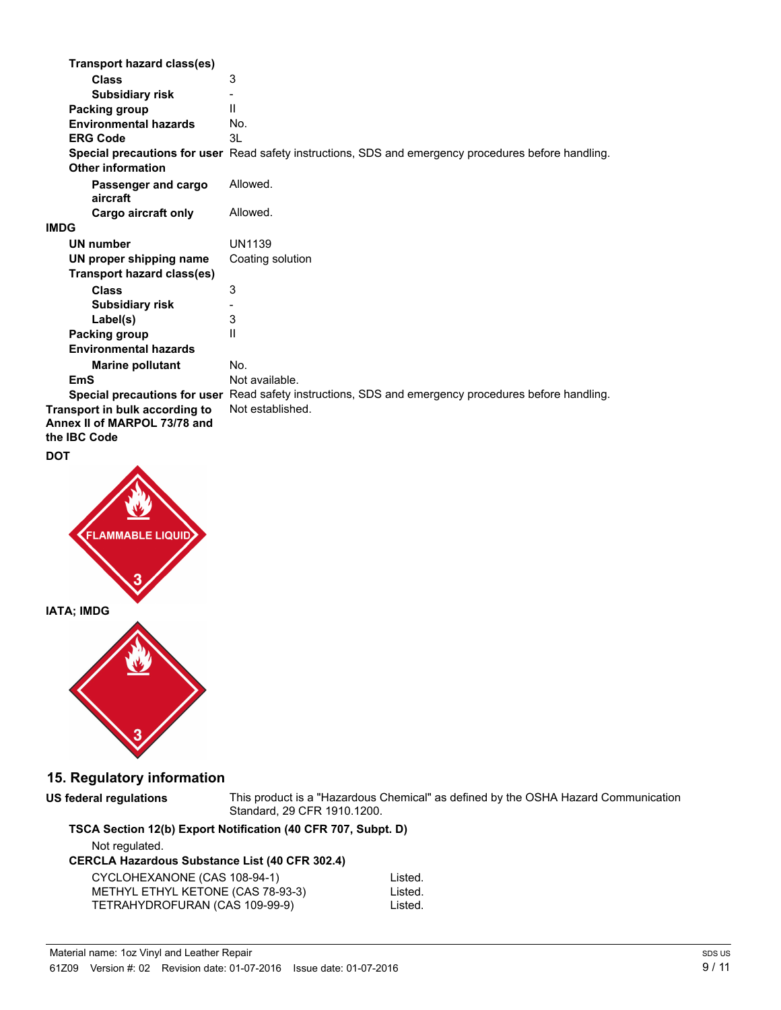| Transport hazard class(es)      |                                                                                                             |
|---------------------------------|-------------------------------------------------------------------------------------------------------------|
| Class                           | 3                                                                                                           |
| <b>Subsidiary risk</b>          |                                                                                                             |
| Packing group                   | $\mathbf{I}$                                                                                                |
| <b>Environmental hazards</b>    | No.                                                                                                         |
| <b>ERG Code</b>                 | 3L                                                                                                          |
| <b>Other information</b>        | <b>Special precautions for user</b> Read safety instructions, SDS and emergency procedures before handling. |
| Passenger and cargo<br>aircraft | Allowed.                                                                                                    |
| Cargo aircraft only             | Allowed.                                                                                                    |
| <b>IMDG</b>                     |                                                                                                             |
| <b>UN number</b>                | UN1139                                                                                                      |
| UN proper shipping name         | Coating solution                                                                                            |
| Transport hazard class(es)      |                                                                                                             |
| <b>Class</b>                    | 3                                                                                                           |
| <b>Subsidiary risk</b>          |                                                                                                             |
| Label(s)                        | 3                                                                                                           |
| Packing group                   | $\mathbf{I}$                                                                                                |
| <b>Environmental hazards</b>    |                                                                                                             |
| <b>Marine pollutant</b>         | No.                                                                                                         |
| EmS                             | Not available.                                                                                              |
|                                 | Special precautions for user Read safety instructions, SDS and emergency procedures before handling.        |
| Transport in bulk according to  | Not established.                                                                                            |
| Annex II of MARPOL 73/78 and    |                                                                                                             |
| the <b>IBC</b> Code             |                                                                                                             |

#### **DOT**



# **15. Regulatory information**

**US federal regulations**

This product is a "Hazardous Chemical" as defined by the OSHA Hazard Communication Standard, 29 CFR 1910.1200.

# **TSCA Section 12(b) Export Notification (40 CFR 707, Subpt. D)**

Not regulated.

## **CERCLA Hazardous Substance List (40 CFR 302.4)**

| CYCLOHEXANONE (CAS 108-94-1)      | Listed. |
|-----------------------------------|---------|
| METHYL ETHYL KETONE (CAS 78-93-3) | Listed. |
| TETRAHYDROFURAN (CAS 109-99-9)    | Listed. |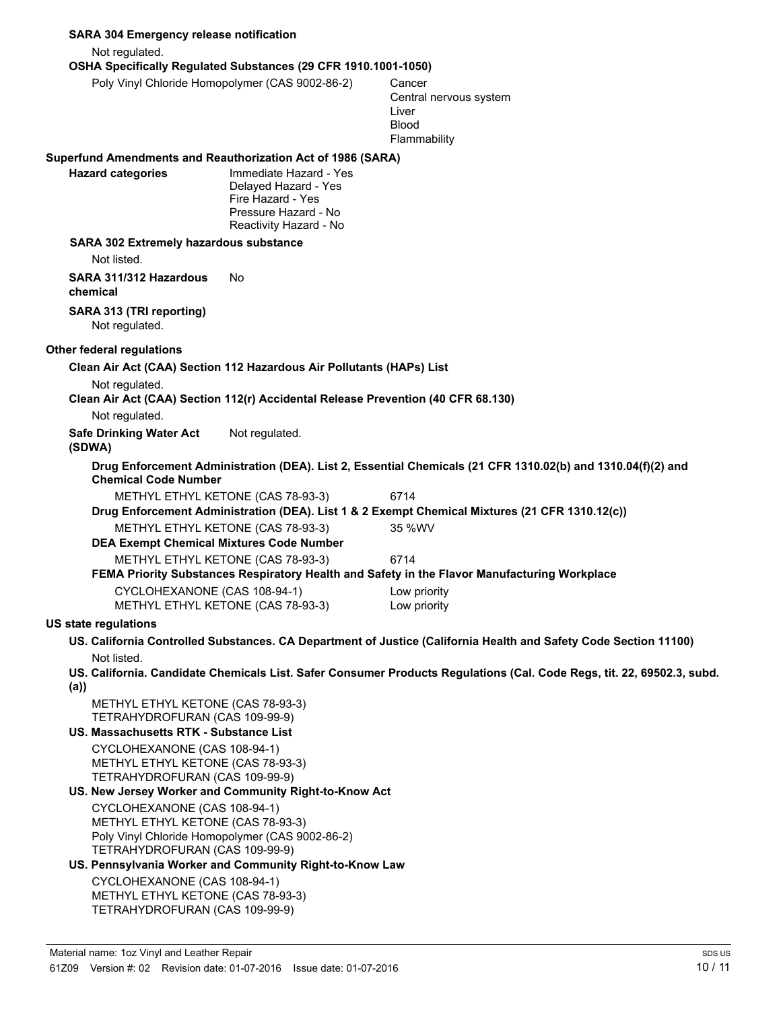| <b>SARA 304 Emergency release notification</b>                                                      |                                                                                                                       |                                                                                                                        |  |
|-----------------------------------------------------------------------------------------------------|-----------------------------------------------------------------------------------------------------------------------|------------------------------------------------------------------------------------------------------------------------|--|
| Not regulated.                                                                                      |                                                                                                                       |                                                                                                                        |  |
|                                                                                                     | OSHA Specifically Regulated Substances (29 CFR 1910.1001-1050)                                                        |                                                                                                                        |  |
| Poly Vinyl Chloride Homopolymer (CAS 9002-86-2)                                                     |                                                                                                                       | Cancer<br>Central nervous system<br>Liver<br><b>Blood</b><br>Flammability                                              |  |
| Superfund Amendments and Reauthorization Act of 1986 (SARA)                                         |                                                                                                                       |                                                                                                                        |  |
| <b>Hazard categories</b>                                                                            | Immediate Hazard - Yes<br>Delayed Hazard - Yes<br>Fire Hazard - Yes<br>Pressure Hazard - No<br>Reactivity Hazard - No |                                                                                                                        |  |
| <b>SARA 302 Extremely hazardous substance</b>                                                       |                                                                                                                       |                                                                                                                        |  |
| Not listed.                                                                                         |                                                                                                                       |                                                                                                                        |  |
| SARA 311/312 Hazardous<br>chemical                                                                  | No.                                                                                                                   |                                                                                                                        |  |
| SARA 313 (TRI reporting)<br>Not regulated.                                                          |                                                                                                                       |                                                                                                                        |  |
| Other federal regulations                                                                           |                                                                                                                       |                                                                                                                        |  |
|                                                                                                     | Clean Air Act (CAA) Section 112 Hazardous Air Pollutants (HAPs) List                                                  |                                                                                                                        |  |
| Not regulated.                                                                                      |                                                                                                                       |                                                                                                                        |  |
|                                                                                                     | Clean Air Act (CAA) Section 112(r) Accidental Release Prevention (40 CFR 68.130)                                      |                                                                                                                        |  |
| Not regulated.                                                                                      |                                                                                                                       |                                                                                                                        |  |
| <b>Safe Drinking Water Act</b><br>(SDWA)                                                            | Not regulated.                                                                                                        |                                                                                                                        |  |
| <b>Chemical Code Number</b>                                                                         |                                                                                                                       | Drug Enforcement Administration (DEA). List 2, Essential Chemicals (21 CFR 1310.02(b) and 1310.04(f)(2) and            |  |
|                                                                                                     | METHYL ETHYL KETONE (CAS 78-93-3)                                                                                     | 6714                                                                                                                   |  |
|                                                                                                     |                                                                                                                       | Drug Enforcement Administration (DEA). List 1 & 2 Exempt Chemical Mixtures (21 CFR 1310.12(c))                         |  |
|                                                                                                     | METHYL ETHYL KETONE (CAS 78-93-3)<br><b>DEA Exempt Chemical Mixtures Code Number</b>                                  | 35 %WV                                                                                                                 |  |
|                                                                                                     | METHYL ETHYL KETONE (CAS 78-93-3)                                                                                     | 6714                                                                                                                   |  |
|                                                                                                     |                                                                                                                       | FEMA Priority Substances Respiratory Health and Safety in the Flavor Manufacturing Workplace                           |  |
| CYCLOHEXANONE (CAS 108-94-1)                                                                        |                                                                                                                       | Low priority                                                                                                           |  |
|                                                                                                     | METHYL ETHYL KETONE (CAS 78-93-3)                                                                                     | Low priority                                                                                                           |  |
| <b>US state regulations</b>                                                                         |                                                                                                                       |                                                                                                                        |  |
|                                                                                                     |                                                                                                                       | US. California Controlled Substances. CA Department of Justice (California Health and Safety Code Section 11100)       |  |
| Not listed.                                                                                         |                                                                                                                       | US. California. Candidate Chemicals List. Safer Consumer Products Regulations (Cal. Code Regs, tit. 22, 69502.3, subd. |  |
| (a))<br>METHYL ETHYL KETONE (CAS 78-93-3)<br>TETRAHYDROFURAN (CAS 109-99-9)                         |                                                                                                                       |                                                                                                                        |  |
| US. Massachusetts RTK - Substance List                                                              |                                                                                                                       |                                                                                                                        |  |
| CYCLOHEXANONE (CAS 108-94-1)<br>METHYL ETHYL KETONE (CAS 78-93-3)<br>TETRAHYDROFURAN (CAS 109-99-9) |                                                                                                                       |                                                                                                                        |  |
|                                                                                                     | US. New Jersey Worker and Community Right-to-Know Act                                                                 |                                                                                                                        |  |
| CYCLOHEXANONE (CAS 108-94-1)<br>METHYL ETHYL KETONE (CAS 78-93-3)<br>TETRAHYDROFURAN (CAS 109-99-9) | Poly Vinyl Chloride Homopolymer (CAS 9002-86-2)<br>US. Pennsylvania Worker and Community Right-to-Know Law            |                                                                                                                        |  |
| CYCLOHEXANONE (CAS 108-94-1)<br>METHYL ETHYL KETONE (CAS 78-93-3)<br>TETRAHYDROFURAN (CAS 109-99-9) |                                                                                                                       |                                                                                                                        |  |